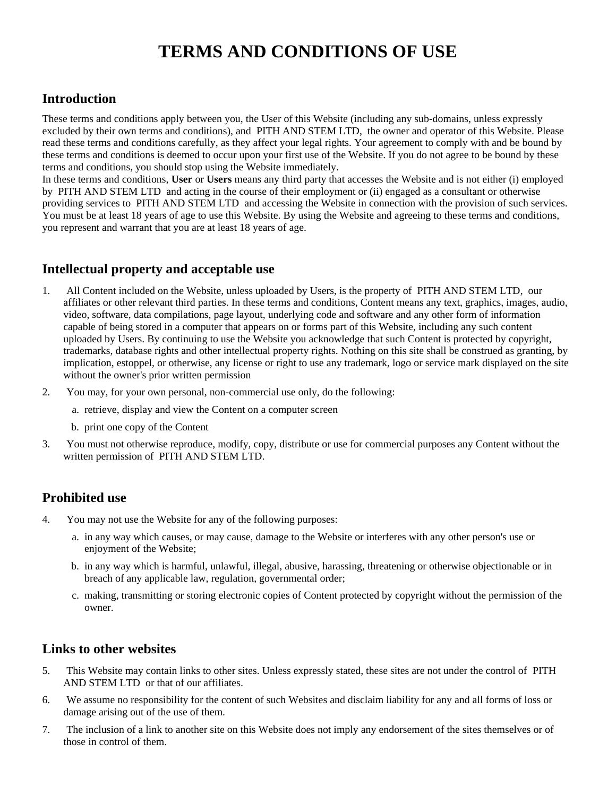# **TERMS AND CONDITIONS OF USE**

#### **Introduction**

These terms and conditions apply between you, the User of this Website (including any sub-domains, unless expressly excluded by their own terms and conditions), and PITH AND STEM LTD, the owner and operator of this Website. Please read these terms and conditions carefully, as they affect your legal rights. Your agreement to comply with and be bound by these terms and conditions is deemed to occur upon your first use of the Website. If you do not agree to be bound by these terms and conditions, you should stop using the Website immediately.

In these terms and conditions, **User** or **Users** means any third party that accesses the Website and is not either (i) employed by PITH AND STEM LTD and acting in the course of their employment or (ii) engaged as a consultant or otherwise providing services to PITH AND STEM LTD and accessing the Website in connection with the provision of such services. You must be at least 18 years of age to use this Website. By using the Website and agreeing to these terms and conditions, you represent and warrant that you are at least 18 years of age.

#### **Intellectual property and acceptable use**

- 1. All Content included on the Website, unless uploaded by Users, is the property of PITH AND STEM LTD, our affiliates or other relevant third parties. In these terms and conditions, Content means any text, graphics, images, audio, video, software, data compilations, page layout, underlying code and software and any other form of information capable of being stored in a computer that appears on or forms part of this Website, including any such content uploaded by Users. By continuing to use the Website you acknowledge that such Content is protected by copyright, trademarks, database rights and other intellectual property rights. Nothing on this site shall be construed as granting, by implication, estoppel, or otherwise, any license or right to use any trademark, logo or service mark displayed on the site without the owner's prior written permission
- 2. You may, for your own personal, non-commercial use only, do the following:
	- a. retrieve, display and view the Content on a computer screen
	- b. print one copy of the Content
- 3. You must not otherwise reproduce, modify, copy, distribute or use for commercial purposes any Content without the written permission of PITH AND STEM LTD.

#### **Prohibited use**

- 4. You may not use the Website for any of the following purposes:
	- a. in any way which causes, or may cause, damage to the Website or interferes with any other person's use or enjoyment of the Website;
	- b. in any way which is harmful, unlawful, illegal, abusive, harassing, threatening or otherwise objectionable or in breach of any applicable law, regulation, governmental order;
	- c. making, transmitting or storing electronic copies of Content protected by copyright without the permission of the owner.

#### **Links to other websites**

- 5. This Website may contain links to other sites. Unless expressly stated, these sites are not under the control of PITH AND STEM LTD or that of our affiliates.
- 6. We assume no responsibility for the content of such Websites and disclaim liability for any and all forms of loss or damage arising out of the use of them.
- 7. The inclusion of a link to another site on this Website does not imply any endorsement of the sites themselves or of those in control of them.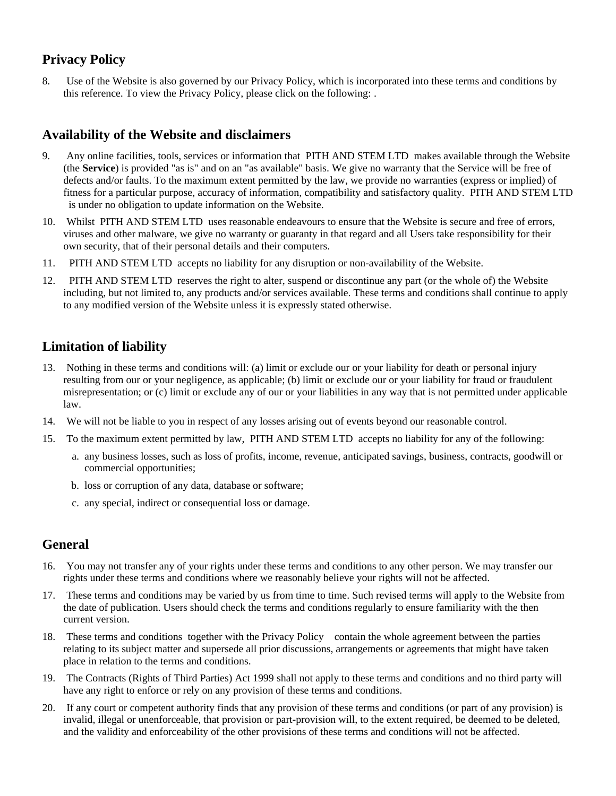## **Privacy Policy**

8. Use of the Website is also governed by our Privacy Policy, which is incorporated into these terms and conditions by this reference. To view the Privacy Policy, please click on the following: .

## **Availability of the Website and disclaimers**

- 9. Any online facilities, tools, services or information that PITH AND STEM LTD makes available through the Website (the **Service**) is provided "as is" and on an "as available" basis. We give no warranty that the Service will be free of defects and/or faults. To the maximum extent permitted by the law, we provide no warranties (express or implied) of fitness for a particular purpose, accuracy of information, compatibility and satisfactory quality. PITH AND STEM LTD is under no obligation to update information on the Website.
- 10. Whilst PITH AND STEM LTD uses reasonable endeavours to ensure that the Website is secure and free of errors, viruses and other malware, we give no warranty or guaranty in that regard and all Users take responsibility for their own security, that of their personal details and their computers.
- 11. PITH AND STEM LTD accepts no liability for any disruption or non-availability of the Website.
- 12. PITH AND STEM LTD reserves the right to alter, suspend or discontinue any part (or the whole of) the Website including, but not limited to, any products and/or services available. These terms and conditions shall continue to apply to any modified version of the Website unless it is expressly stated otherwise.

## **Limitation of liability**

- 13. Nothing in these terms and conditions will: (a) limit or exclude our or your liability for death or personal injury resulting from our or your negligence, as applicable; (b) limit or exclude our or your liability for fraud or fraudulent misrepresentation; or (c) limit or exclude any of our or your liabilities in any way that is not permitted under applicable law.
- 14. We will not be liable to you in respect of any losses arising out of events beyond our reasonable control.
- 15. To the maximum extent permitted by law, PITH AND STEM LTD accepts no liability for any of the following:
	- a. any business losses, such as loss of profits, income, revenue, anticipated savings, business, contracts, goodwill or commercial opportunities;
	- b. loss or corruption of any data, database or software;
	- c. any special, indirect or consequential loss or damage.

## **General**

- 16. You may not transfer any of your rights under these terms and conditions to any other person. We may transfer our rights under these terms and conditions where we reasonably believe your rights will not be affected.
- 17. These terms and conditions may be varied by us from time to time. Such revised terms will apply to the Website from the date of publication. Users should check the terms and conditions regularly to ensure familiarity with the then current version.
- 18. These terms and conditions together with the Privacy Policy contain the whole agreement between the parties relating to its subject matter and supersede all prior discussions, arrangements or agreements that might have taken place in relation to the terms and conditions.
- 19. The Contracts (Rights of Third Parties) Act 1999 shall not apply to these terms and conditions and no third party will have any right to enforce or rely on any provision of these terms and conditions.
- 20. If any court or competent authority finds that any provision of these terms and conditions (or part of any provision) is invalid, illegal or unenforceable, that provision or part-provision will, to the extent required, be deemed to be deleted, and the validity and enforceability of the other provisions of these terms and conditions will not be affected.